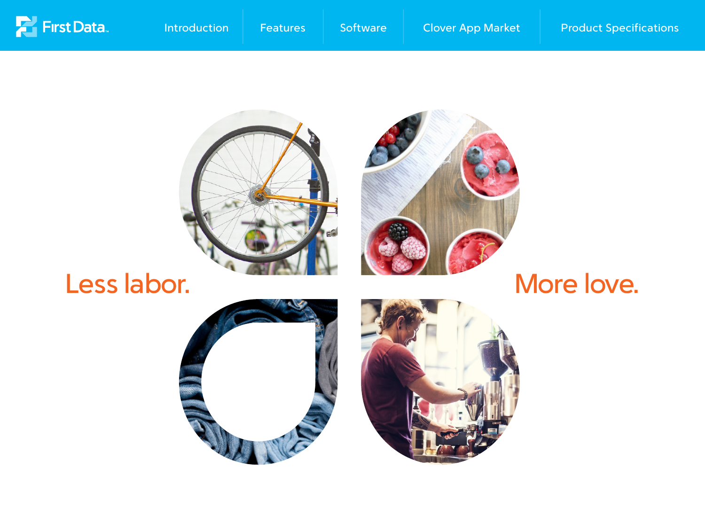<span id="page-0-0"></span>



# Less labor. Nore love.



[Introduction](#page-1-0) [Features](#page-2-0) [Software](#page-3-0) Glover App Market [Product Specifications](#page-5-0)





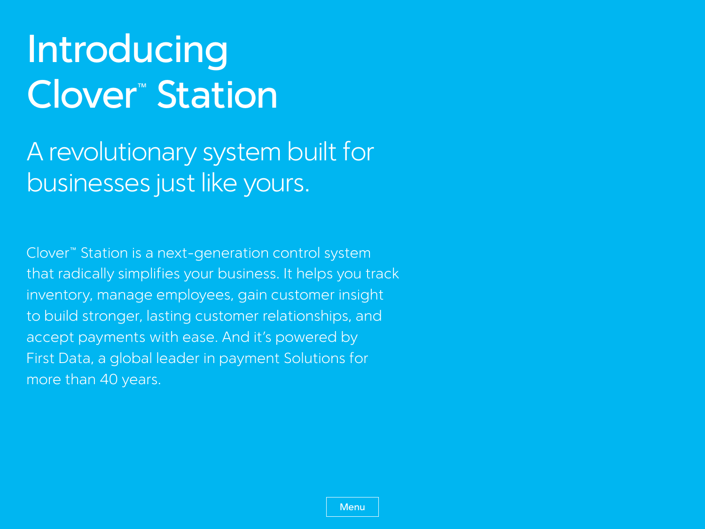# <span id="page-1-0"></span>Introducing Clover™ Station

Clover™ Station is a next-generation control system that radically simplifies your business. It helps you track inventory, manage employees, gain customer insight to build stronger, lasting customer relationships, and accept payments with ease. And it's powered by First Data, a global leader in payment Solutions for more than 40 years.

**[Menu](#page-0-0)** 

A revolutionary system built for businesses just like yours.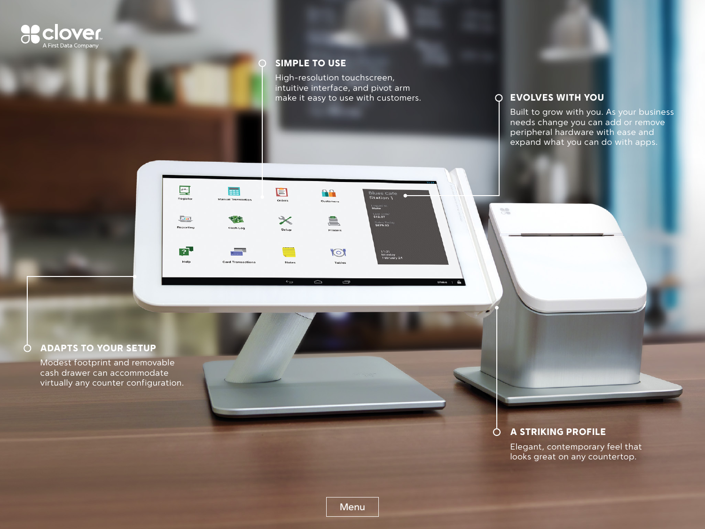

Elegant, contemporary feel that looks great on any countertop.

#### evolves with you

 $\partial \mathcal{E}$ 

#### Adapts to your setup  $\bigcirc$

Built to grow with you. As your business needs change you can add or remove peripheral hardware with ease and expand what you can do with apps.

Modest footprint and removable cash drawer can accommodate virtually any counter configuration.

<span id="page-2-0"></span>

#### Simple to use

High-resolution touchscreen, intuitive interface, and pivot arm make it easy to use with customers.

**Blues Cafe**<br>Station 1

Logged 1<br>Blake

 $\frac{L \text{aut Ord}}{312.07}$ 

Sales Toda<br>\$879.92

11:21<br>Monday<br>February 24

Blake | A

88

Customer

â,

Printers

 $\mathbb{C}$ 

**Tables** 

Ų



[Menu](#page-0-0)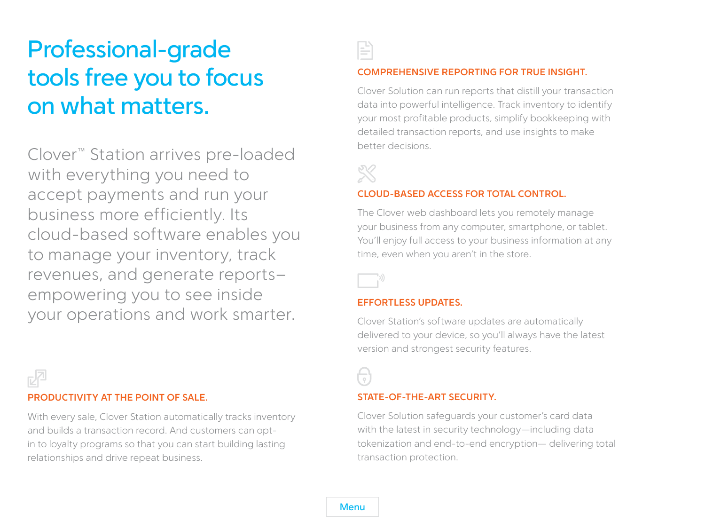#### **Comprehensive reporting for true insight.**

Clover Solution can run reports that distill your transaction data into powerful intelligence. Track inventory to identify your most profitable products, simplify bookkeeping with detailed transaction reports, and use insights to make better decisions.



#### **Cloud-based access for total control.**

The Clover web dashboard lets you remotely manage your business from any computer, smartphone, or tablet. You'll enjoy full access to your business information at any time, even when you aren't in the store.



#### **Effortless updates.**

Clover Station's software updates are automatically delivered to your device, so you'll always have the latest version and strongest security features.

### $\overline{\overline{\Omega}}$

**[Menu](#page-0-0)** 

#### **state-of-the-art security.**

Clover Solution safeguards your customer's card data with the latest in security technology—including data tokenization and end-to-end encryption— delivering total transaction protection.

# <span id="page-3-0"></span>Professional-grade tools free you to focus on what matters.

Clover™ Station arrives pre-loaded with everything you need to accept payments and run your business more efficiently. Its cloud-based software enables you to manage your inventory, track revenues, and generate reports– empowering you to see inside your operations and work smarter.



#### **Productivity at the point of sale.**

With every sale, Clover Station automatically tracks inventory and builds a transaction record. And customers can optin to loyalty programs so that you can start building lasting relationships and drive repeat business.

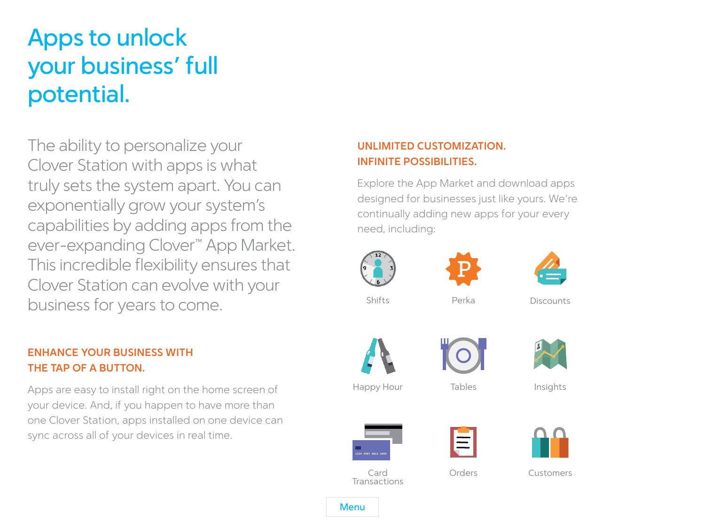# <span id="page-4-0"></span>Apps to unlock your business' full potential.

The ability to personalize your Clover Station with apps is what truly sets the system apart. You can exponentially grow your system's capabilities by adding apps from the ever-expanding Clover™ App Market. This incredible flexibility ensures that Clover Station can evolve with your business for years to come.

### **Enhance your business with the tap of a button.**

Apps are easy to install right on the home screen of your device. And, if you happen to have more than one Clover Station, apps installed on one device can sync across all of your devices in real time.

### **Unlimited customization. Infinite possibilities.**

Explore the App Market and download apps designed for businesses just like yours. We're continually adding new apps for your every need, including:



**[Menu](#page-0-0)**